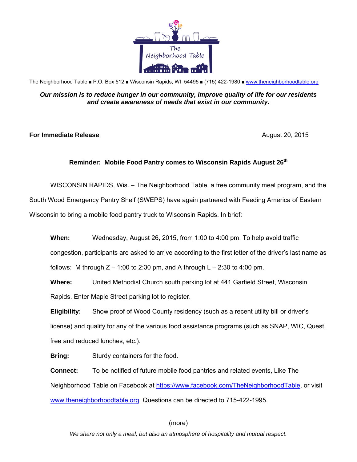

The Neighborhood Table ■ P.O. Box 512 ■ Wisconsin Rapids, WI 54495 ■ (715) 422-1980 ■ www.theneighborhoodtable.org

### *Our mission is to reduce hunger in our community, improve quality of life for our residents and create awareness of needs that exist in our community.*

## **For Immediate Release August 20, 2015**

# **Reminder: Mobile Food Pantry comes to Wisconsin Rapids August 26th**

WISCONSIN RAPIDS, Wis. – The Neighborhood Table, a free community meal program, and the South Wood Emergency Pantry Shelf (SWEPS) have again partnered with Feeding America of Eastern Wisconsin to bring a mobile food pantry truck to Wisconsin Rapids. In brief:

**When:** Wednesday, August 26, 2015, from 1:00 to 4:00 pm. To help avoid traffic congestion, participants are asked to arrive according to the first letter of the driver's last name as follows: M through  $Z - 1:00$  to 2:30 pm, and A through  $L - 2:30$  to 4:00 pm.

**Where:** United Methodist Church south parking lot at 441 Garfield Street, Wisconsin Rapids. Enter Maple Street parking lot to register.

**Eligibility:** Show proof of Wood County residency (such as a recent utility bill or driver's license) and qualify for any of the various food assistance programs (such as SNAP, WIC, Quest, free and reduced lunches, etc.).

**Bring:** Sturdy containers for the food.

**Connect:** To be notified of future mobile food pantries and related events, Like The Neighborhood Table on Facebook at https://www.facebook.com/TheNeighborhoodTable, or visit www.theneighborhoodtable.org. Questions can be directed to 715-422-1995.

## (more)

*We share not only a meal, but also an atmosphere of hospitality and mutual respect.*